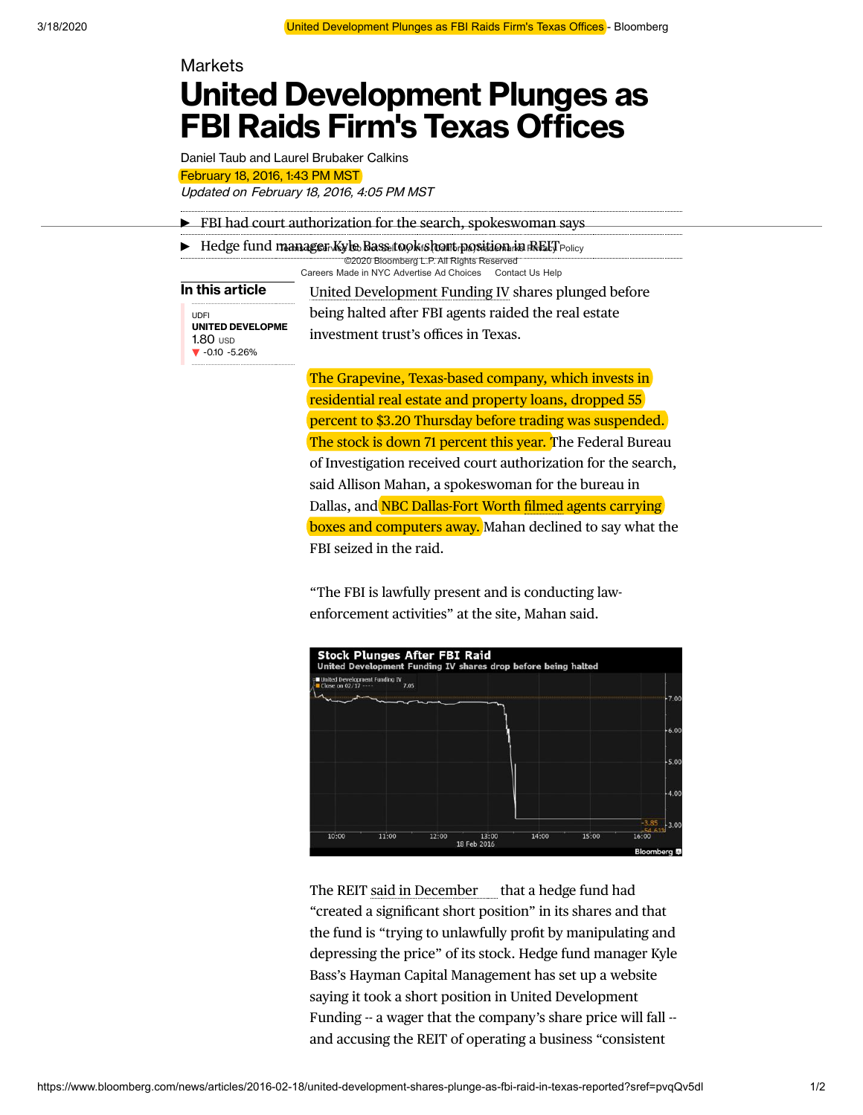## **Markets**

## **United Development Plunges as FBI Raids Firm's Texas Offices**

Daniel Taub and Laurel Brubaker Calkins February 18, 2016, 1:43 PM MST

Updated on February 18, 2016, 4:05 PM MST

| EPI had court authorization for the search, spokes woman says                                     |                                                          |
|---------------------------------------------------------------------------------------------------|----------------------------------------------------------|
| $\blacktriangleright$ Hedge fund manager Kyle Bass took short position in RELT $_{\text{Policy}}$ |                                                          |
|                                                                                                   | C2020 Bloomberg L.P. All Rights Reserved                 |
|                                                                                                   | Careers Made in NYC Advertise Ad Choices Contact Us Help |
| In this article                                                                                   | United Development Funding IV shares plunged before      |
| UDFI                                                                                              | being halted after FBI agents raided the real estate     |
| <b>UNITED DEVELOPME</b><br>$1.80$ usp<br>$\blacktriangledown$ -0.10 -5.26%                        | investment trust's offices in Texas.                     |
|                                                                                                   |                                                          |

The Grapevine, Texas-based company, which invests in residential real estate and property loans, dropped 55 percent to \$3.20 Thursday before trading was suspended. The stock is down 71 percent this year. The Federal Bureau of Investigation received court authorization for the search, said Allison Mahan, a spokeswoman for the bureau in Dallas, and NBC Dallas-Fort Worth [filmed](http://www.nbcdfw.com/news/business/FBI-Raids-Large-Housing-Financial-Firm-in-Grapevine-369296121.html) agents carrying boxes and computers away. Mahan declined to say what the FBI seized in the raid.

"The FBI is lawfully present and is conducting lawenforcement activities" at the site, Mahan said.



The REIT said [in December](https://www.bloomberg.com/news/terminal/NZ63RQ3S3GU8) that a hedge fund had "created a significant short position" in its shares and that the fund is "trying to unlawfully profit by manipulating and depressing the price" of its stock. Hedge fund manager Kyle Bass's Hayman Capital Management has set up a website saying it took a short position in United Development Funding -- a wager that the company's share price will fall - and accusing the REIT of operating a business "consistent